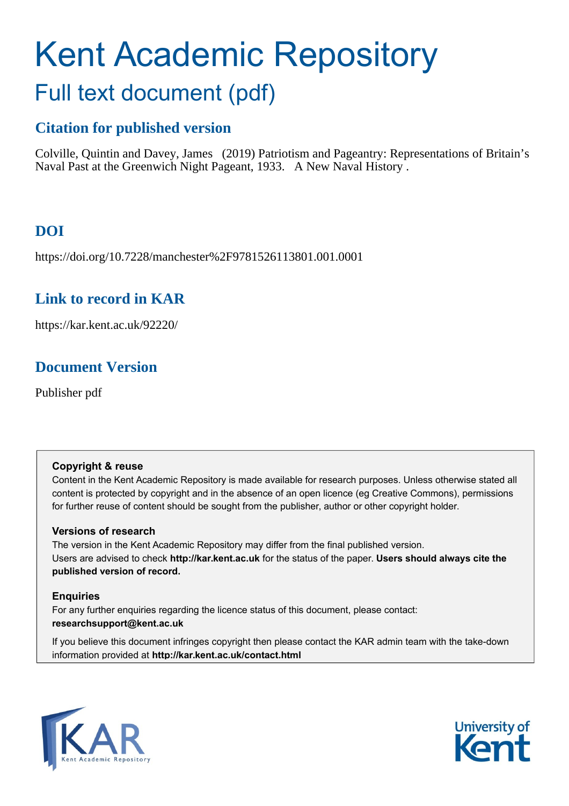# Kent Academic Repository Full text document (pdf)

# **Citation for published version**

Colville, Quintin and Davey, James (2019) Patriotism and Pageantry: Representations of Britain's Naval Past at the Greenwich Night Pageant, 1933. A New Naval History .

# **DOI**

https://doi.org/10.7228/manchester%2F9781526113801.001.0001

### **Link to record in KAR**

https://kar.kent.ac.uk/92220/

# **Document Version**

Publisher pdf

### **Copyright & reuse**

Content in the Kent Academic Repository is made available for research purposes. Unless otherwise stated all content is protected by copyright and in the absence of an open licence (eg Creative Commons), permissions for further reuse of content should be sought from the publisher, author or other copyright holder.

### **Versions of research**

The version in the Kent Academic Repository may differ from the final published version. Users are advised to check **http://kar.kent.ac.uk** for the status of the paper. **Users should always cite the published version of record.**

### **Enquiries**

For any further enquiries regarding the licence status of this document, please contact: **researchsupport@kent.ac.uk**

If you believe this document infringes copyright then please contact the KAR admin team with the take-down information provided at **http://kar.kent.ac.uk/contact.html**



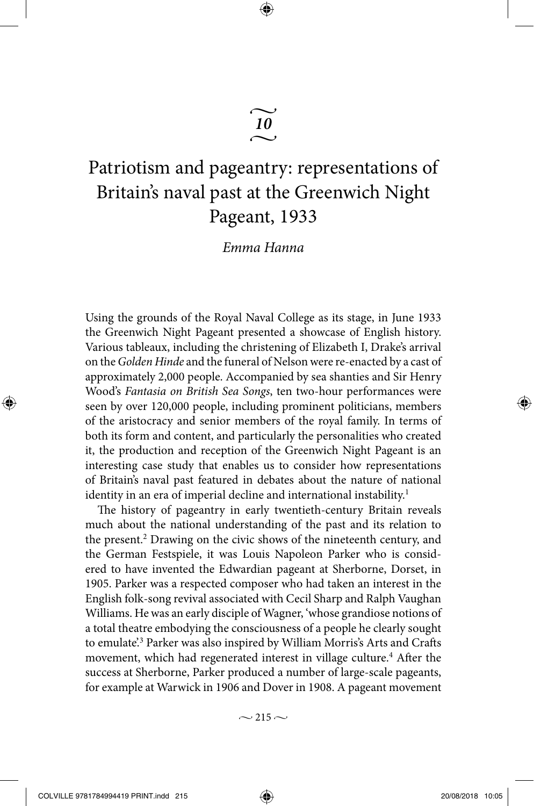# Patriotism and pageantry: representations of Britain's naval past at the Greenwich Night Pageant, 1933

v*10*  $\sim$ 

⊕

*Emma Hanna*

Using the grounds of the Royal Naval College as its stage, in June 1933 the Greenwich Night Pageant presented a showcase of English history. Various tableaux, including the christening of Elizabeth I, Drake's arrival on the *Golden Hinde* and the funeral of Nelson were re-enacted by a cast of approximately 2,000 people. Accompanied by sea shanties and Sir Henry Wood's *Fantasia on British Sea Songs*, ten two-hour performances were seen by over 120,000 people, including prominent politicians, members of the aristocracy and senior members of the royal family. In terms of both its form and content, and particularly the personalities who created it, the production and reception of the Greenwich Night Pageant is an interesting case study that enables us to consider how representations of Britain's naval past featured in debates about the nature of national identity in an era of imperial decline and international instability.<sup>1</sup>

The history of pageantry in early twentieth-century Britain reveals much about the national understanding of the past and its relation to the present.<sup>2</sup> Drawing on the civic shows of the nineteenth century, and the German Festspiele, it was Louis Napoleon Parker who is considered to have invented the Edwardian pageant at Sherborne, Dorset, in 1905. Parker was a respected composer who had taken an interest in the English folk-song revival associated with Cecil Sharp and Ralph Vaughan Williams. He was an early disciple of Wagner, 'whose grandiose notions of a total theatre embodying the consciousness of a people he clearly sought to emulate<sup>'3</sup> Parker was also inspired by William Morris's Arts and Crafts movement, which had regenerated interest in village culture.<sup>4</sup> After the success at Sherborne, Parker produced a number of large-scale pageants, for example at Warwick in 1906 and Dover in 1908. A pageant movement

 $\sim$  215  $\sim$ 

COLVILLE 9781784994419 PRINT.indd 215 20/08/2018 10:05

◈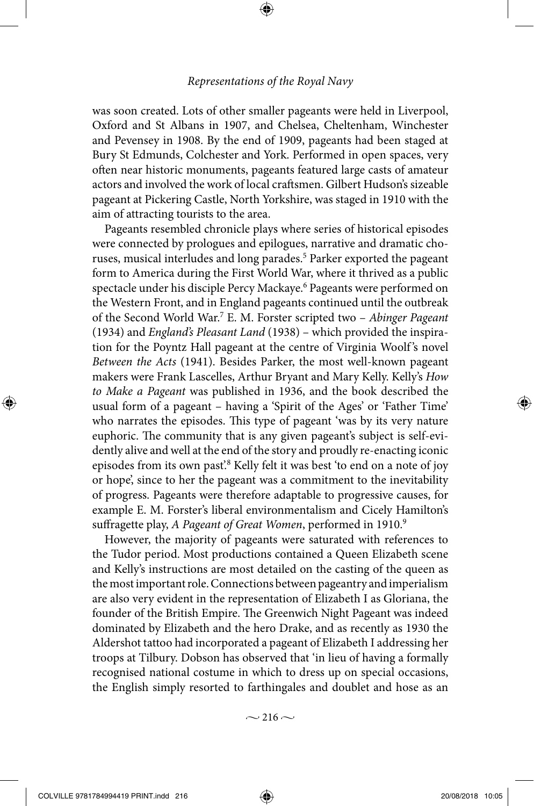⊕

was soon created. Lots of other smaller pageants were held in Liverpool, Oxford and St Albans in 1907, and Chelsea, Cheltenham, Winchester and Pevensey in 1908. By the end of 1909, pageants had been staged at Bury St Edmunds, Colchester and York. Performed in open spaces, very often near historic monuments, pageants featured large casts of amateur actors and involved the work of local craftsmen. Gilbert Hudson's sizeable pageant at Pickering Castle, North Yorkshire, was staged in 1910 with the aim of attracting tourists to the area.

Pageants resembled chronicle plays where series of historical episodes were connected by prologues and epilogues, narrative and dramatic choruses, musical interludes and long parades.<sup>5</sup> Parker exported the pageant form to America during the First World War, where it thrived as a public spectacle under his disciple Percy Mackaye.<sup>6</sup> Pageants were performed on the Western Front, and in England pageants continued until the outbreak of the Second World War.7 E. M. Forster scripted two – *Abinger Pageant*  (1934) and *England's Pleasant Land* (1938) – which provided the inspiration for the Poyntz Hall pageant at the centre of Virginia Woolf 's novel *Between the Acts* (1941). Besides Parker, the most well-known pageant makers were Frank Lascelles, Arthur Bryant and Mary Kelly. Kelly's *How to Make a Pageant* was published in 1936, and the book described the usual form of a pageant – having a 'Spirit of the Ages' or 'Father Time' who narrates the episodes. This type of pageant 'was by its very nature euphoric. The community that is any given pageant's subject is self-evidently alive and well at the end of the story and proudly re-enacting iconic episodes from its own past.<sup>8</sup> Kelly felt it was best 'to end on a note of joy or hope', since to her the pageant was a commitment to the inevitability of progress. Pageants were therefore adaptable to progressive causes, for example E. M. Forster's liberal environmentalism and Cicely Hamilton's suffragette play, *A Pageant of Great Women*, performed in 1910.<sup>9</sup>

However, the majority of pageants were saturated with references to the Tudor period. Most productions contained a Queen Elizabeth scene and Kelly's instructions are most detailed on the casting of the queen as the most important role. Connections between pageantry and imperialism are also very evident in the representation of Elizabeth I as Gloriana, the founder of the British Empire. The Greenwich Night Pageant was indeed dominated by Elizabeth and the hero Drake, and as recently as 1930 the Aldershot tattoo had incorporated a pageant of Elizabeth I addressing her troops at Tilbury. Dobson has observed that 'in lieu of having a formally recognised national costume in which to dress up on special occasions, the English simply resorted to farthingales and doublet and hose as an

 $\sim$  216  $\sim$ 

COLVILLE 9781784994419 PRINT.indd 216 20/08/2018 10:05

◈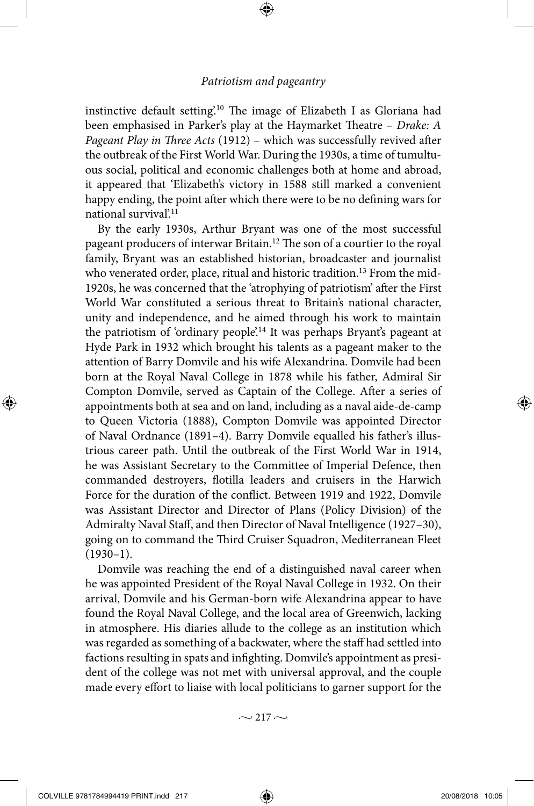⊕

instinctive default setting'.10 The image of Elizabeth I as Gloriana had been emphasised in Parker's play at the Haymarket Theatre – *Drake: A Pageant Play in Three Acts* (1912) – which was successfully revived after the outbreak of the First World War. During the 1930s, a time of tumultuous social, political and economic challenges both at home and abroad, it appeared that 'Elizabeth's victory in 1588 still marked a convenient happy ending, the point after which there were to be no defining wars for national survival?<sup>11</sup>

By the early 1930s, Arthur Bryant was one of the most successful pageant producers of interwar Britain.12 The son of a courtier to the royal family, Bryant was an established historian, broadcaster and journalist who venerated order, place, ritual and historic tradition.<sup>13</sup> From the mid-1920s, he was concerned that the 'atrophying of patriotism' after the First World War constituted a serious threat to Britain's national character, unity and independence, and he aimed through his work to maintain the patriotism of 'ordinary people'.<sup>14</sup> It was perhaps Bryant's pageant at Hyde Park in 1932 which brought his talents as a pageant maker to the attention of Barry Domvile and his wife Alexandrina. Domvile had been born at the Royal Naval College in 1878 while his father, Admiral Sir Compton Domvile, served as Captain of the College. After a series of appointments both at sea and on land, including as a naval aide-de-camp to Queen Victoria (1888), Compton Domvile was appointed Director of Naval Ordnance (1891–4). Barry Domvile equalled his father's illustrious career path. Until the outbreak of the First World War in 1914, he was Assistant Secretary to the Committee of Imperial Defence, then commanded destroyers, flotilla leaders and cruisers in the Harwich Force for the duration of the conflict. Between 1919 and 1922, Domvile was Assistant Director and Director of Plans (Policy Division) of the Admiralty Naval Staff, and then Director of Naval Intelligence (1927–30), going on to command the Third Cruiser Squadron, Mediterranean Fleet  $(1930-1)$ .

Domvile was reaching the end of a distinguished naval career when he was appointed President of the Royal Naval College in 1932. On their arrival, Domvile and his German-born wife Alexandrina appear to have found the Royal Naval College, and the local area of Greenwich, lacking in atmosphere. His diaries allude to the college as an institution which was regarded as something of a backwater, where the staff had settled into factions resulting in spats and infighting. Domvile's appointment as president of the college was not met with universal approval, and the couple made every effort to liaise with local politicians to garner support for the

 $\sim$  217  $\sim$ 

◈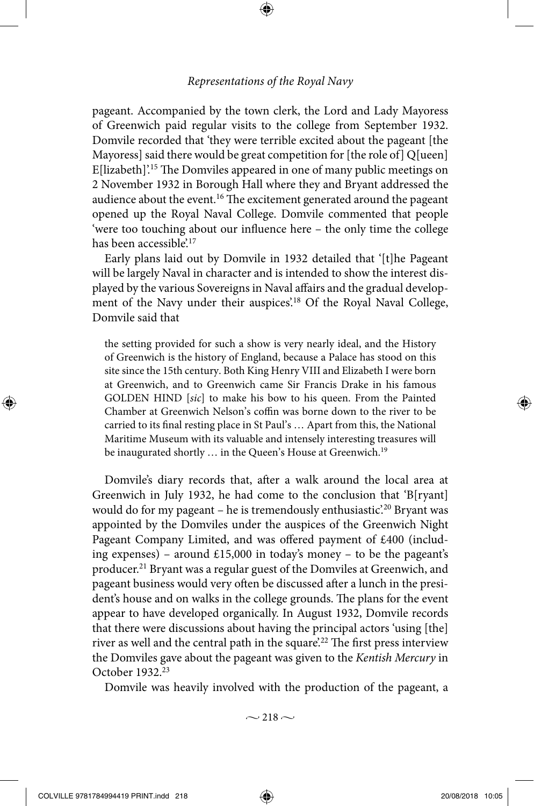⊕

pageant. Accompanied by the town clerk, the Lord and Lady Mayoress of Greenwich paid regular visits to the college from September 1932. Domvile recorded that 'they were terrible excited about the pageant [the Mayoress] said there would be great competition for [the role of] Q[ueen] E[lizabeth]'.15 The Domviles appeared in one of many public meetings on 2 November 1932 in Borough Hall where they and Bryant addressed the audience about the event.<sup>16</sup> The excitement generated around the pageant opened up the Royal Naval College. Domvile commented that people 'were too touching about our influence here – the only time the college has been accessible.<sup>17</sup>

Early plans laid out by Domvile in 1932 detailed that '[t]he Pageant will be largely Naval in character and is intended to show the interest displayed by the various Sovereigns in Naval affairs and the gradual development of the Navy under their auspices.<sup>18</sup> Of the Royal Naval College, Domvile said that

the setting provided for such a show is very nearly ideal, and the History of Greenwich is the history of England, because a Palace has stood on this site since the 15th century. Both King Henry VIII and Elizabeth I were born at Greenwich, and to Greenwich came Sir Francis Drake in his famous GOLDEN HIND [*sic*] to make his bow to his queen. From the Painted Chamber at Greenwich Nelson's coffin was borne down to the river to be carried to its final resting place in St Paul's … Apart from this, the National Maritime Museum with its valuable and intensely interesting treasures will be inaugurated shortly ... in the Queen's House at Greenwich.<sup>19</sup>

Domvile's diary records that, after a walk around the local area at Greenwich in July 1932, he had come to the conclusion that 'B[ryant] would do for my pageant – he is tremendously enthusiastic.<sup>20</sup> Bryant was appointed by the Domviles under the auspices of the Greenwich Night Pageant Company Limited, and was offered payment of £400 (including expenses) – around £15,000 in today's money – to be the pageant's producer.21 Bryant was a regular guest of the Domviles at Greenwich, and pageant business would very often be discussed after a lunch in the president's house and on walks in the college grounds. The plans for the event appear to have developed organically. In August 1932, Domvile records that there were discussions about having the principal actors 'using [the] river as well and the central path in the square.<sup>22</sup> The first press interview the Domviles gave about the pageant was given to the *Kentish Mercury* in October 1932.23

Domvile was heavily involved with the production of the pageant, a

 $\sim$  218  $\sim$ 

◈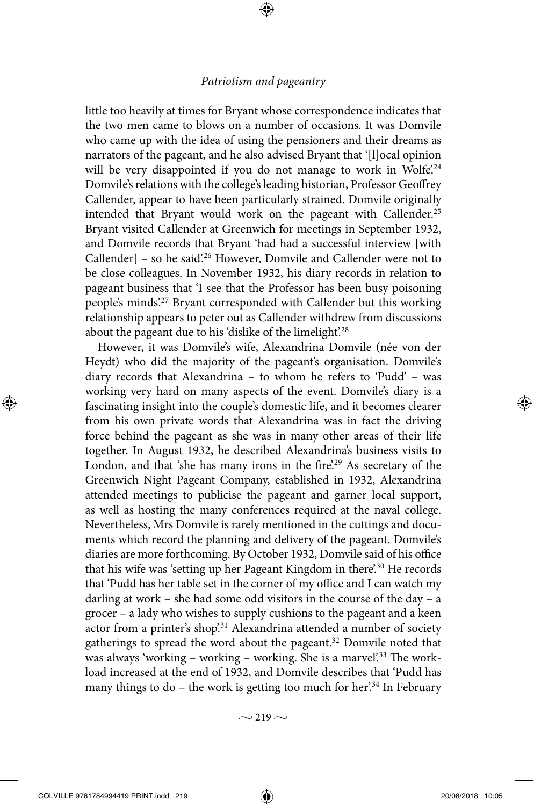⊕

little too heavily at times for Bryant whose correspondence indicates that the two men came to blows on a number of occasions. It was Domvile who came up with the idea of using the pensioners and their dreams as narrators of the pageant, and he also advised Bryant that '[l]ocal opinion will be very disappointed if you do not manage to work in Wolfe<sup>'.24</sup> Domvile's relations with the college's leading historian, Professor Geoffrey Callender, appear to have been particularly strained. Domvile originally intended that Bryant would work on the pageant with Callender.<sup>25</sup> Bryant visited Callender at Greenwich for meetings in September 1932, and Domvile records that Bryant 'had had a successful interview [with Callender] – so he said<sup>26</sup> However, Domvile and Callender were not to be close colleagues. In November 1932, his diary records in relation to pageant business that 'I see that the Professor has been busy poisoning people's minds'.27 Bryant corresponded with Callender but this working relationship appears to peter out as Callender withdrew from discussions about the pageant due to his 'dislike of the limelight'.<sup>28</sup>

However, it was Domvile's wife, Alexandrina Domvile (née von der Heydt) who did the majority of the pageant's organisation. Domvile's diary records that Alexandrina – to whom he refers to 'Pudd' – was working very hard on many aspects of the event. Domvile's diary is a fascinating insight into the couple's domestic life, and it becomes clearer from his own private words that Alexandrina was in fact the driving force behind the pageant as she was in many other areas of their life together. In August 1932, he described Alexandrina's business visits to London, and that 'she has many irons in the fire'.<sup>29</sup> As secretary of the Greenwich Night Pageant Company, established in 1932, Alexandrina attended meetings to publicise the pageant and garner local support, as well as hosting the many conferences required at the naval college. Nevertheless, Mrs Domvile is rarely mentioned in the cuttings and documents which record the planning and delivery of the pageant. Domvile's diaries are more forthcoming. By October 1932, Domvile said of his office that his wife was 'setting up her Pageant Kingdom in there'.<sup>30</sup> He records that 'Pudd has her table set in the corner of my office and I can watch my darling at work – she had some odd visitors in the course of the day – a grocer – a lady who wishes to supply cushions to the pageant and a keen actor from a printer's shop'.<sup>31</sup> Alexandrina attended a number of society gatherings to spread the word about the pageant.32 Domvile noted that was always 'working – working – working. She is a marvel'.<sup>33</sup> The workload increased at the end of 1932, and Domvile describes that 'Pudd has many things to do – the work is getting too much for her.<sup>34</sup> In February

 $\sim$  219  $\sim$ 

COLVILLE 9781784994419 PRINT.indd 219 20/08/2018 10:05

◈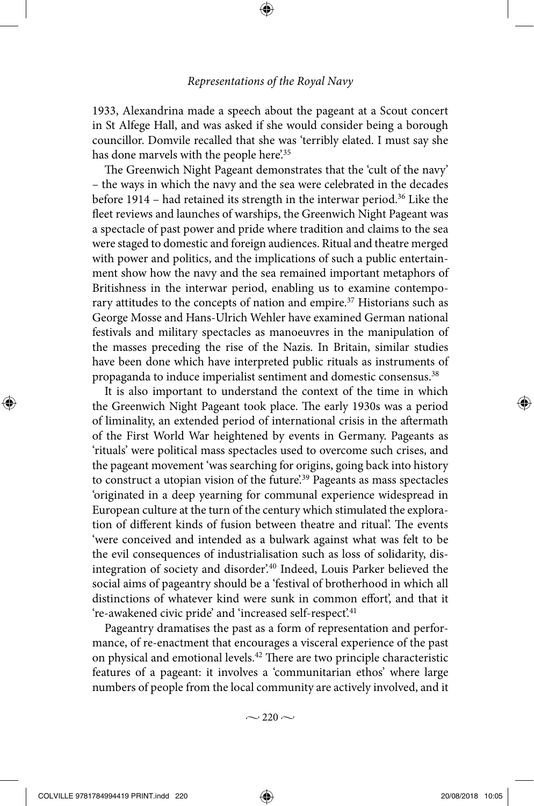⊕

1933, Alexandrina made a speech about the pageant at a Scout concert in St Alfege Hall, and was asked if she would consider being a borough councillor. Domvile recalled that she was 'terribly elated. I must say she has done marvels with the people here.<sup>35</sup>

The Greenwich Night Pageant demonstrates that the 'cult of the navy' – the ways in which the navy and the sea were celebrated in the decades before 1914 – had retained its strength in the interwar period.<sup>36</sup> Like the fleet reviews and launches of warships, the Greenwich Night Pageant was a spectacle of past power and pride where tradition and claims to the sea were staged to domestic and foreign audiences. Ritual and theatre merged with power and politics, and the implications of such a public entertainment show how the navy and the sea remained important metaphors of Britishness in the interwar period, enabling us to examine contemporary attitudes to the concepts of nation and empire.<sup>37</sup> Historians such as George Mosse and Hans-Ulrich Wehler have examined German national festivals and military spectacles as manoeuvres in the manipulation of the masses preceding the rise of the Nazis. In Britain, similar studies have been done which have interpreted public rituals as instruments of propaganda to induce imperialist sentiment and domestic consensus.38

It is also important to understand the context of the time in which the Greenwich Night Pageant took place. The early 1930s was a period of liminality, an extended period of international crisis in the aftermath of the First World War heightened by events in Germany. Pageants as 'rituals' were political mass spectacles used to overcome such crises, and the pageant movement 'was searching for origins, going back into history to construct a utopian vision of the future<sup>39</sup> Pageants as mass spectacles 'originated in a deep yearning for communal experience widespread in European culture at the turn of the century which stimulated the exploration of different kinds of fusion between theatre and ritual'. The events 'were conceived and intended as a bulwark against what was felt to be the evil consequences of industrialisation such as loss of solidarity, disintegration of society and disorder'.40 Indeed, Louis Parker believed the social aims of pageantry should be a 'festival of brotherhood in which all distinctions of whatever kind were sunk in common effort', and that it 're-awakened civic pride' and 'increased self-respect'.<sup>41</sup>

Pageantry dramatises the past as a form of representation and performance, of re-enactment that encourages a visceral experience of the past on physical and emotional levels.42 There are two principle characteristic features of a pageant: it involves a 'communitarian ethos' where large numbers of people from the local community are actively involved, and it

 $\sim$  220  $\sim$ 

◈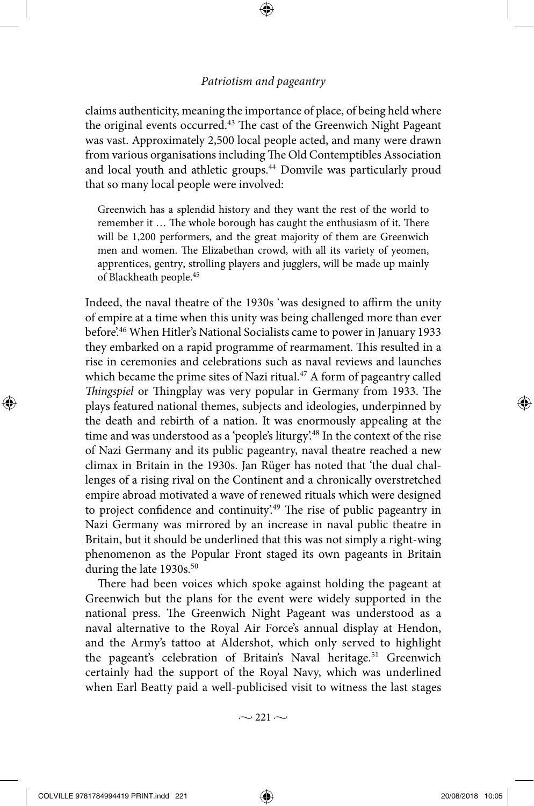⊕

claims authenticity, meaning the importance of place, of being held where the original events occurred.<sup>43</sup> The cast of the Greenwich Night Pageant was vast. Approximately 2,500 local people acted, and many were drawn from various organisations including The Old Contemptibles Association and local youth and athletic groups.<sup>44</sup> Domvile was particularly proud that so many local people were involved:

Greenwich has a splendid history and they want the rest of the world to remember it … The whole borough has caught the enthusiasm of it. There will be 1,200 performers, and the great majority of them are Greenwich men and women. The Elizabethan crowd, with all its variety of yeomen, apprentices, gentry, strolling players and jugglers, will be made up mainly of Blackheath people.45

Indeed, the naval theatre of the 1930s 'was designed to affirm the unity of empire at a time when this unity was being challenged more than ever before'.46 When Hitler's National Socialists came to power in January 1933 they embarked on a rapid programme of rearmament. This resulted in a rise in ceremonies and celebrations such as naval reviews and launches which became the prime sites of Nazi ritual. $47$  A form of pageantry called *Thingspiel* or Thingplay was very popular in Germany from 1933. The plays featured national themes, subjects and ideologies, underpinned by the death and rebirth of a nation. It was enormously appealing at the time and was understood as a 'people's liturgy.<sup>48</sup> In the context of the rise of Nazi Germany and its public pageantry, naval theatre reached a new climax in Britain in the 1930s. Jan Rüger has noted that 'the dual challenges of a rising rival on the Continent and a chronically overstretched empire abroad motivated a wave of renewed rituals which were designed to project confidence and continuity'.49 The rise of public pageantry in Nazi Germany was mirrored by an increase in naval public theatre in Britain, but it should be underlined that this was not simply a right-wing phenomenon as the Popular Front staged its own pageants in Britain during the late 1930s.<sup>50</sup>

There had been voices which spoke against holding the pageant at Greenwich but the plans for the event were widely supported in the national press. The Greenwich Night Pageant was understood as a naval alternative to the Royal Air Force's annual display at Hendon, and the Army's tattoo at Aldershot, which only served to highlight the pageant's celebration of Britain's Naval heritage.<sup>51</sup> Greenwich certainly had the support of the Royal Navy, which was underlined when Earl Beatty paid a well-publicised visit to witness the last stages

 $\sim$  221  $\sim$ 

◈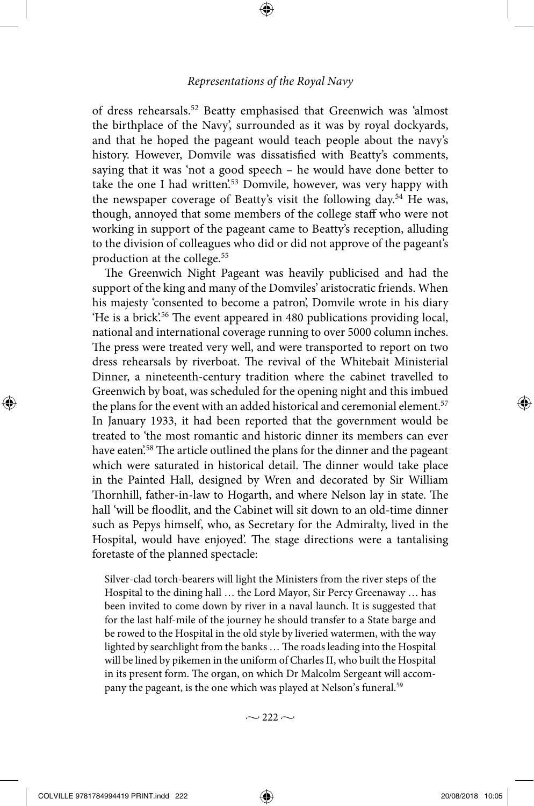⊕

of dress rehearsals.52 Beatty emphasised that Greenwich was 'almost the birthplace of the Navy', surrounded as it was by royal dockyards, and that he hoped the pageant would teach people about the navy's history. However, Domvile was dissatisfied with Beatty's comments, saying that it was 'not a good speech – he would have done better to take the one I had written<sup>'53</sup> Domvile, however, was very happy with the newspaper coverage of Beatty's visit the following day.<sup>54</sup> He was, though, annoyed that some members of the college staff who were not working in support of the pageant came to Beatty's reception, alluding to the division of colleagues who did or did not approve of the pageant's production at the college.55

The Greenwich Night Pageant was heavily publicised and had the support of the king and many of the Domviles' aristocratic friends. When his majesty 'consented to become a patron', Domvile wrote in his diary 'He is a brick'.56 The event appeared in 480 publications providing local, national and international coverage running to over 5000 column inches. The press were treated very well, and were transported to report on two dress rehearsals by riverboat. The revival of the Whitebait Ministerial Dinner, a nineteenth-century tradition where the cabinet travelled to Greenwich by boat, was scheduled for the opening night and this imbued the plans for the event with an added historical and ceremonial element.<sup>57</sup> In January 1933, it had been reported that the government would be treated to 'the most romantic and historic dinner its members can ever have eaten<sup>'58</sup>. The article outlined the plans for the dinner and the pageant which were saturated in historical detail. The dinner would take place in the Painted Hall, designed by Wren and decorated by Sir William Thornhill, father-in-law to Hogarth, and where Nelson lay in state. The hall 'will be floodlit, and the Cabinet will sit down to an old-time dinner such as Pepys himself, who, as Secretary for the Admiralty, lived in the Hospital, would have enjoyed'. The stage directions were a tantalising foretaste of the planned spectacle:

Silver-clad torch-bearers will light the Ministers from the river steps of the Hospital to the dining hall … the Lord Mayor, Sir Percy Greenaway … has been invited to come down by river in a naval launch. It is suggested that for the last half-mile of the journey he should transfer to a State barge and be rowed to the Hospital in the old style by liveried watermen, with the way lighted by searchlight from the banks … The roads leading into the Hospital will be lined by pikemen in the uniform of Charles II, who built the Hospital in its present form. The organ, on which Dr Malcolm Sergeant will accompany the pageant, is the one which was played at Nelson's funeral.<sup>59</sup>

 $\sim$  222  $\sim$ 

COLVILLE 9781784994419 PRINT.indd 222 2008/2018 10:05

◈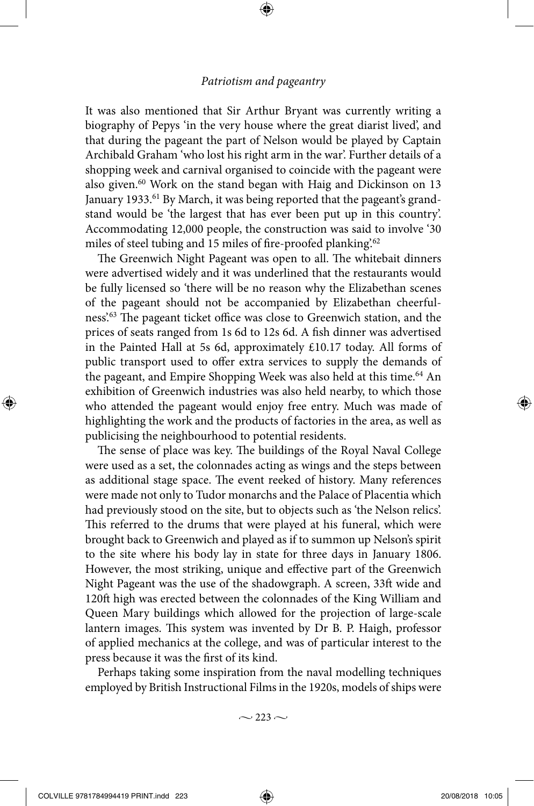⊕

It was also mentioned that Sir Arthur Bryant was currently writing a biography of Pepys 'in the very house where the great diarist lived', and that during the pageant the part of Nelson would be played by Captain Archibald Graham 'who lost his right arm in the war'. Further details of a shopping week and carnival organised to coincide with the pageant were also given.<sup>60</sup> Work on the stand began with Haig and Dickinson on 13 January 1933.<sup>61</sup> By March, it was being reported that the pageant's grandstand would be 'the largest that has ever been put up in this country'. Accommodating 12,000 people, the construction was said to involve '30 miles of steel tubing and 15 miles of fire-proofed planking.<sup>62</sup>

The Greenwich Night Pageant was open to all. The whitebait dinners were advertised widely and it was underlined that the restaurants would be fully licensed so 'there will be no reason why the Elizabethan scenes of the pageant should not be accompanied by Elizabethan cheerfulness'.63 The pageant ticket office was close to Greenwich station, and the prices of seats ranged from 1s 6d to 12s 6d. A fish dinner was advertised in the Painted Hall at 5s 6d, approximately £10.17 today. All forms of public transport used to offer extra services to supply the demands of the pageant, and Empire Shopping Week was also held at this time.<sup>64</sup> An exhibition of Greenwich industries was also held nearby, to which those who attended the pageant would enjoy free entry. Much was made of highlighting the work and the products of factories in the area, as well as publicising the neighbourhood to potential residents.

The sense of place was key. The buildings of the Royal Naval College were used as a set, the colonnades acting as wings and the steps between as additional stage space. The event reeked of history. Many references were made not only to Tudor monarchs and the Palace of Placentia which had previously stood on the site, but to objects such as 'the Nelson relics'. This referred to the drums that were played at his funeral, which were brought back to Greenwich and played as if to summon up Nelson's spirit to the site where his body lay in state for three days in January 1806. However, the most striking, unique and effective part of the Greenwich Night Pageant was the use of the shadowgraph. A screen, 33ft wide and 120ft high was erected between the colonnades of the King William and Queen Mary buildings which allowed for the projection of large-scale lantern images. This system was invented by Dr B. P. Haigh, professor of applied mechanics at the college, and was of particular interest to the press because it was the first of its kind.

Perhaps taking some inspiration from the naval modelling techniques employed by British Instructional Films in the 1920s, models of ships were

 $\sim$  223  $\sim$ 

◈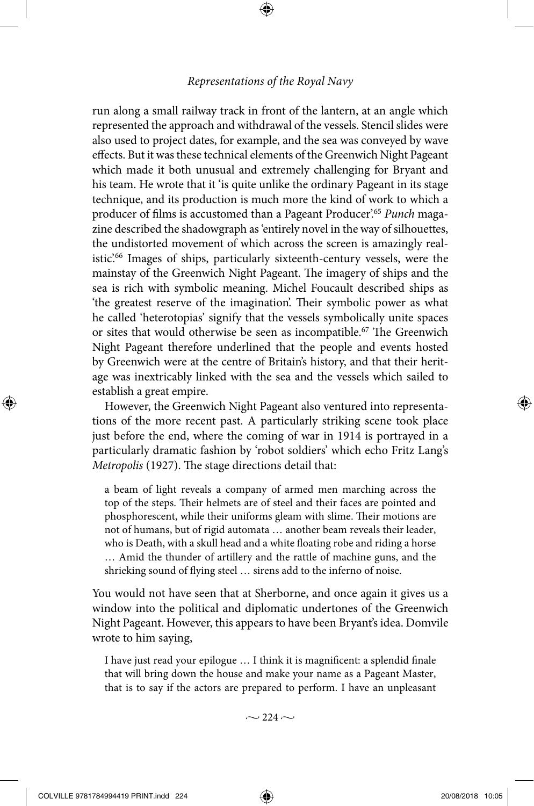⊕

run along a small railway track in front of the lantern, at an angle which represented the approach and withdrawal of the vessels. Stencil slides were also used to project dates, for example, and the sea was conveyed by wave effects. But it was these technical elements of the Greenwich Night Pageant which made it both unusual and extremely challenging for Bryant and his team. He wrote that it 'is quite unlike the ordinary Pageant in its stage technique, and its production is much more the kind of work to which a producer of films is accustomed than a Pageant Producer'.65 *Punch* magazine described the shadowgraph as 'entirely novel in the way of silhouettes, the undistorted movement of which across the screen is amazingly realistic<sup>'66</sup> Images of ships, particularly sixteenth-century vessels, were the mainstay of the Greenwich Night Pageant. The imagery of ships and the sea is rich with symbolic meaning. Michel Foucault described ships as 'the greatest reserve of the imagination'. Their symbolic power as what he called 'heterotopias' signify that the vessels symbolically unite spaces or sites that would otherwise be seen as incompatible.<sup>67</sup> The Greenwich Night Pageant therefore underlined that the people and events hosted by Greenwich were at the centre of Britain's history, and that their heritage was inextricably linked with the sea and the vessels which sailed to establish a great empire.

However, the Greenwich Night Pageant also ventured into representations of the more recent past. A particularly striking scene took place just before the end, where the coming of war in 1914 is portrayed in a particularly dramatic fashion by 'robot soldiers' which echo Fritz Lang's *Metropolis* (1927). The stage directions detail that:

a beam of light reveals a company of armed men marching across the top of the steps. Their helmets are of steel and their faces are pointed and phosphorescent, while their uniforms gleam with slime. Their motions are not of humans, but of rigid automata … another beam reveals their leader, who is Death, with a skull head and a white floating robe and riding a horse … Amid the thunder of artillery and the rattle of machine guns, and the shrieking sound of flying steel … sirens add to the inferno of noise.

You would not have seen that at Sherborne, and once again it gives us a window into the political and diplomatic undertones of the Greenwich Night Pageant. However, this appears to have been Bryant's idea. Domvile wrote to him saying,

I have just read your epilogue … I think it is magnificent: a splendid finale that will bring down the house and make your name as a Pageant Master, that is to say if the actors are prepared to perform. I have an unpleasant

 $\sim$  224  $\sim$ 

◈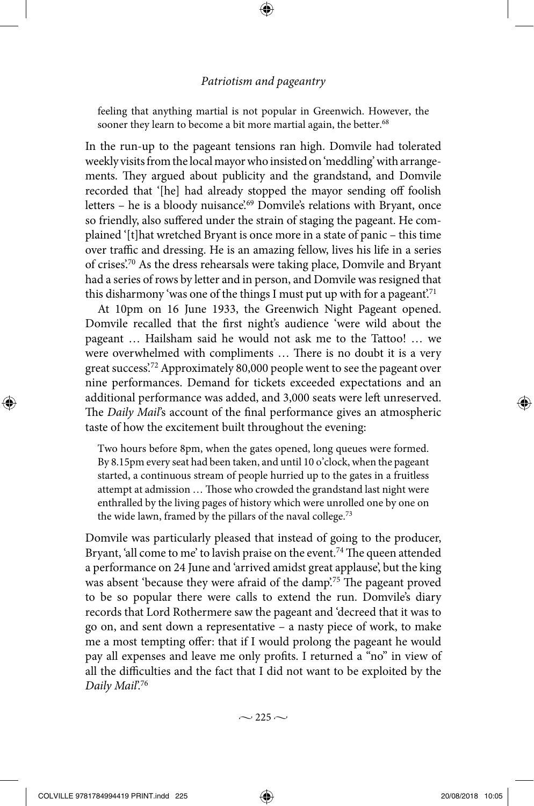⊕

feeling that anything martial is not popular in Greenwich. However, the sooner they learn to become a bit more martial again, the better.<sup>68</sup>

In the run-up to the pageant tensions ran high. Domvile had tolerated weekly visits from the local mayor who insisted on 'meddling' with arrangements. They argued about publicity and the grandstand, and Domvile recorded that '[he] had already stopped the mayor sending off foolish letters - he is a bloody nuisance'.<sup>69</sup> Domvile's relations with Bryant, once so friendly, also suffered under the strain of staging the pageant. He complained '[t]hat wretched Bryant is once more in a state of panic – this time over traffic and dressing. He is an amazing fellow, lives his life in a series of crises'.70 As the dress rehearsals were taking place, Domvile and Bryant had a series of rows by letter and in person, and Domvile was resigned that this disharmony 'was one of the things I must put up with for a pageant.<sup>71</sup>

At 10pm on 16 June 1933, the Greenwich Night Pageant opened. Domvile recalled that the first night's audience 'were wild about the pageant … Hailsham said he would not ask me to the Tattoo! … we were overwhelmed with compliments … There is no doubt it is a very great success'.72 Approximately 80,000 people went to see the pageant over nine performances. Demand for tickets exceeded expectations and an additional performance was added, and 3,000 seats were left unreserved. The *Daily Mail*'s account of the final performance gives an atmospheric taste of how the excitement built throughout the evening:

Two hours before 8pm, when the gates opened, long queues were formed. By 8.15pm every seat had been taken, and until 10 o'clock, when the pageant started, a continuous stream of people hurried up to the gates in a fruitless attempt at admission … Those who crowded the grandstand last night were enthralled by the living pages of history which were unrolled one by one on the wide lawn, framed by the pillars of the naval college.<sup>73</sup>

Domvile was particularly pleased that instead of going to the producer, Bryant, 'all come to me' to lavish praise on the event.<sup>74</sup> The queen attended a performance on 24 June and 'arrived amidst great applause', but the king was absent 'because they were afraid of the damp'.<sup>75</sup> The pageant proved to be so popular there were calls to extend the run. Domvile's diary records that Lord Rothermere saw the pageant and 'decreed that it was to go on, and sent down a representative – a nasty piece of work, to make me a most tempting offer: that if I would prolong the pageant he would pay all expenses and leave me only profits. I returned a "no" in view of all the difficulties and the fact that I did not want to be exploited by the *Daily Mail*'.76

 $\sim$  225  $\sim$ 

◈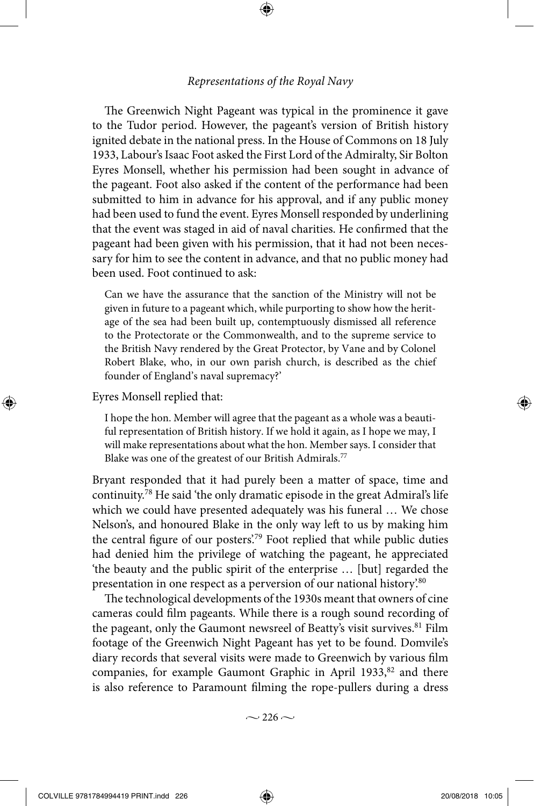⊕

The Greenwich Night Pageant was typical in the prominence it gave to the Tudor period. However, the pageant's version of British history ignited debate in the national press. In the House of Commons on 18 July 1933, Labour's Isaac Foot asked the First Lord of the Admiralty, Sir Bolton Eyres Monsell, whether his permission had been sought in advance of the pageant. Foot also asked if the content of the performance had been submitted to him in advance for his approval, and if any public money had been used to fund the event. Eyres Monsell responded by underlining that the event was staged in aid of naval charities. He confirmed that the pageant had been given with his permission, that it had not been necessary for him to see the content in advance, and that no public money had been used. Foot continued to ask:

Can we have the assurance that the sanction of the Ministry will not be given in future to a pageant which, while purporting to show how the heritage of the sea had been built up, contemptuously dismissed all reference to the Protectorate or the Commonwealth, and to the supreme service to the British Navy rendered by the Great Protector, by Vane and by Colonel Robert Blake, who, in our own parish church, is described as the chief founder of England's naval supremacy?'

Eyres Monsell replied that:

◈

I hope the hon. Member will agree that the pageant as a whole was a beautiful representation of British history. If we hold it again, as I hope we may, I will make representations about what the hon. Member says. I consider that Blake was one of the greatest of our British Admirals.<sup>77</sup>

Bryant responded that it had purely been a matter of space, time and continuity.78 He said 'the only dramatic episode in the great Admiral's life which we could have presented adequately was his funeral … We chose Nelson's, and honoured Blake in the only way left to us by making him the central figure of our posters'.79 Foot replied that while public duties had denied him the privilege of watching the pageant, he appreciated 'the beauty and the public spirit of the enterprise … [but] regarded the presentation in one respect as a perversion of our national history.<sup>80</sup>

The technological developments of the 1930s meant that owners of cine cameras could film pageants. While there is a rough sound recording of the pageant, only the Gaumont newsreel of Beatty's visit survives.<sup>81</sup> Film footage of the Greenwich Night Pageant has yet to be found. Domvile's diary records that several visits were made to Greenwich by various film companies, for example Gaumont Graphic in April 1933,<sup>82</sup> and there is also reference to Paramount filming the rope-pullers during a dress

 $\sim$  226  $\sim$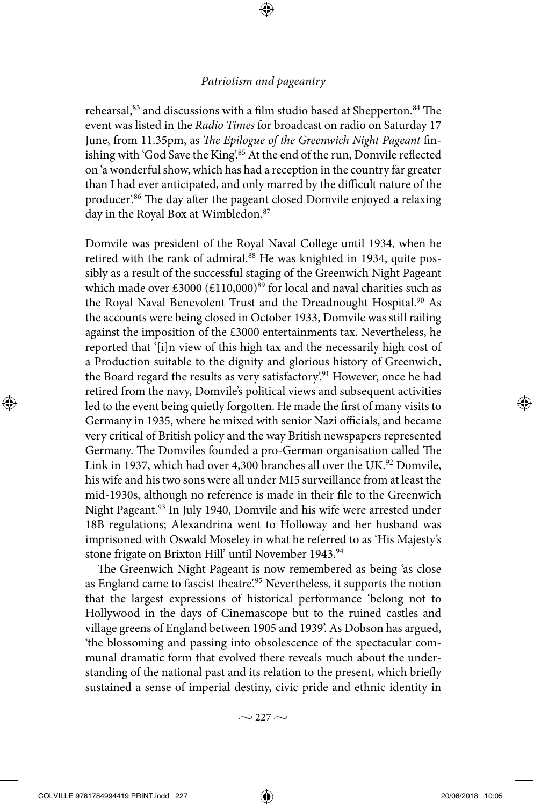⊕

rehearsal,<sup>83</sup> and discussions with a film studio based at Shepperton.<sup>84</sup> The event was listed in the *Radio Times* for broadcast on radio on Saturday 17 June, from 11.35pm, as *The Epilogue of the Greenwich Night Pageant* finishing with 'God Save the King'.<sup>85</sup> At the end of the run, Domvile reflected on 'a wonderful show, which has had a reception in the country far greater than I had ever anticipated, and only marred by the difficult nature of the producer'.86 The day after the pageant closed Domvile enjoyed a relaxing day in the Royal Box at Wimbledon.<sup>87</sup>

Domvile was president of the Royal Naval College until 1934, when he retired with the rank of admiral.<sup>88</sup> He was knighted in 1934, quite possibly as a result of the successful staging of the Greenwich Night Pageant which made over £3000 (£110,000)<sup>89</sup> for local and naval charities such as the Royal Naval Benevolent Trust and the Dreadnought Hospital.<sup>90</sup> As the accounts were being closed in October 1933, Domvile was still railing against the imposition of the £3000 entertainments tax. Nevertheless, he reported that '[i]n view of this high tax and the necessarily high cost of a Production suitable to the dignity and glorious history of Greenwich, the Board regard the results as very satisfactory.<sup>91</sup> However, once he had retired from the navy, Domvile's political views and subsequent activities led to the event being quietly forgotten. He made the first of many visits to Germany in 1935, where he mixed with senior Nazi officials, and became very critical of British policy and the way British newspapers represented Germany. The Domviles founded a pro-German organisation called The Link in 1937, which had over 4,300 branches all over the UK.<sup>92</sup> Domvile, his wife and his two sons were all under MI5 surveillance from at least the mid-1930s, although no reference is made in their file to the Greenwich Night Pageant.<sup>93</sup> In July 1940, Domvile and his wife were arrested under 18B regulations; Alexandrina went to Holloway and her husband was imprisoned with Oswald Moseley in what he referred to as 'His Majesty's stone frigate on Brixton Hill' until November 1943.<sup>94</sup>

The Greenwich Night Pageant is now remembered as being 'as close as England came to fascist theatre.<sup>95</sup> Nevertheless, it supports the notion that the largest expressions of historical performance 'belong not to Hollywood in the days of Cinemascope but to the ruined castles and village greens of England between 1905 and 1939'. As Dobson has argued, 'the blossoming and passing into obsolescence of the spectacular communal dramatic form that evolved there reveals much about the understanding of the national past and its relation to the present, which briefly sustained a sense of imperial destiny, civic pride and ethnic identity in

 $\sim$  227  $\sim$ 

◈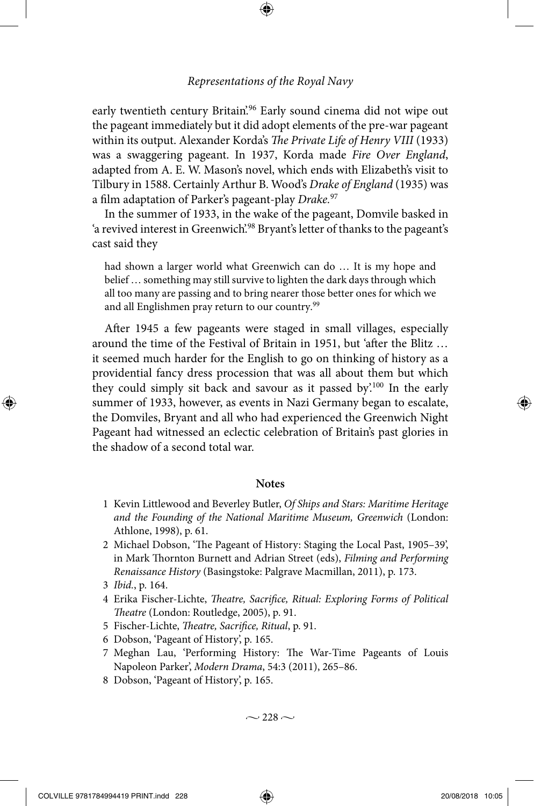⊕

early twentieth century Britain.<sup>96</sup> Early sound cinema did not wipe out the pageant immediately but it did adopt elements of the pre-war pageant within its output. Alexander Korda's *The Private Life of Henry VIII* (1933) was a swaggering pageant. In 1937, Korda made *Fire Over England*, adapted from A. E. W. Mason's novel, which ends with Elizabeth's visit to Tilbury in 1588. Certainly Arthur B. Wood's *Drake of England* (1935) was a film adaptation of Parker's pageant-play *Drake.*<sup>97</sup>

In the summer of 1933, in the wake of the pageant, Domvile basked in 'a revived interest in Greenwich.<sup>98</sup> Bryant's letter of thanks to the pageant's cast said they

had shown a larger world what Greenwich can do … It is my hope and belief … something may still survive to lighten the dark days through which all too many are passing and to bring nearer those better ones for which we and all Englishmen pray return to our country.<sup>99</sup>

After 1945 a few pageants were staged in small villages, especially around the time of the Festival of Britain in 1951, but 'after the Blitz … it seemed much harder for the English to go on thinking of history as a providential fancy dress procession that was all about them but which they could simply sit back and savour as it passed by'.100 In the early summer of 1933, however, as events in Nazi Germany began to escalate, the Domviles, Bryant and all who had experienced the Greenwich Night Pageant had witnessed an eclectic celebration of Britain's past glories in the shadow of a second total war.

#### **Notes**

- 1 Kevin Littlewood and Beverley Butler, *Of Ships and Stars: Maritime Heritage and the Founding of the National Maritime Museum, Greenwich* (London: Athlone, 1998), p. 61.
- 2 Michael Dobson, 'The Pageant of History: Staging the Local Past, 1905–39', in Mark Thornton Burnett and Adrian Street (eds), *Filming and Performing Renaissance History* (Basingstoke: Palgrave Macmillan, 2011), p. 173.
- 3 *Ibid.*, p. 164.

◈

- 4 Erika Fischer-Lichte, *Theatre, Sacrifice, Ritual: Exploring Forms of Political Theatre* (London: Routledge, 2005), p. 91.
- 5 Fischer-Lichte, *Theatre, Sacrifice, Ritual*, p. 91.
- 6 Dobson, 'Pageant of History', p. 165.
- 7 Meghan Lau, 'Performing History: The War-Time Pageants of Louis Napoleon Parker', *Modern Drama*, 54:3 (2011), 265–86.
- 8 Dobson, 'Pageant of History', p. 165.

 $\sim$  228  $\sim$ 

COLVILLE 9781784994419 PRINT.indd 228 20/08/2018 10:05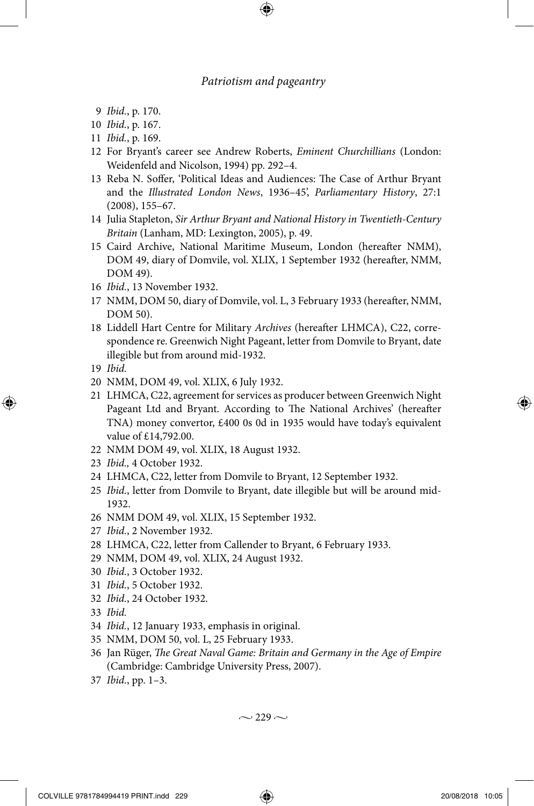⊕

- 9 *Ibid.*, p. 170.
- 10 *Ibid.*, p. 167.
- 11 *Ibid.*, p. 169.
- 12 For Bryant's career see Andrew Roberts, *Eminent Churchillians* (London: Weidenfeld and Nicolson, 1994) pp. 292–4.
- 13 Reba N. Soffer, 'Political Ideas and Audiences: The Case of Arthur Bryant and the *Illustrated London News*, 1936–45', *Parliamentary History*, 27:1 (2008), 155–67.
- 14 Julia Stapleton, *Sir Arthur Bryant and National History in Twentieth-Century Britain* (Lanham, MD: Lexington, 2005), p. 49.
- 15 Caird Archive, National Maritime Museum, London (hereafter NMM), DOM 49, diary of Domvile, vol. XLIX, 1 September 1932 (hereafter, NMM, DOM 49).
- 16 *Ibid.*, 13 November 1932.
- 17 NMM, DOM 50, diary of Domvile, vol. L, 3 February 1933 (hereafter, NMM, DOM 50).
- 18 Liddell Hart Centre for Military *Archives* (hereafter LHMCA), C22, correspondence re. Greenwich Night Pageant, letter from Domvile to Bryant, date illegible but from around mid-1932.
- 19 *Ibid.*

◈

- 20 NMM, DOM 49, vol. XLIX, 6 July 1932.
- 21 LHMCA, C22, agreement for services as producer between Greenwich Night Pageant Ltd and Bryant. According to The National Archives' (hereafter TNA) money convertor, £400 0s 0d in 1935 would have today's equivalent value of £14,792.00.
- 22 NMM DOM 49, vol. XLIX, 18 August 1932.
- 23 *Ibid.,* 4 October 1932.
- 24 LHMCA, C22, letter from Domvile to Bryant, 12 September 1932.
- 25 *Ibid.*, letter from Domvile to Bryant, date illegible but will be around mid-1932.
- 26 NMM DOM 49, vol. XLIX, 15 September 1932.
- 27 *Ibid.*, 2 November 1932.
- 28 LHMCA, C22, letter from Callender to Bryant, 6 February 1933.
- 29 NMM, DOM 49, vol. XLIX, 24 August 1932.
- 30 *Ibid.*, 3 October 1932.
- 31 *Ibid.*, 5 October 1932.
- 32 *Ibid.*, 24 October 1932.
- 33 *Ibid.*
- 34 *Ibid.*, 12 January 1933, emphasis in original.
- 35 NMM, DOM 50, vol. L, 25 February 1933.
- 36 Jan Rüger, *The Great Naval Game: Britain and Germany in the Age of Empire*  (Cambridge: Cambridge University Press, 2007).
- 37 *Ibid.*, pp. 1–3.

 $\sim$  229  $\sim$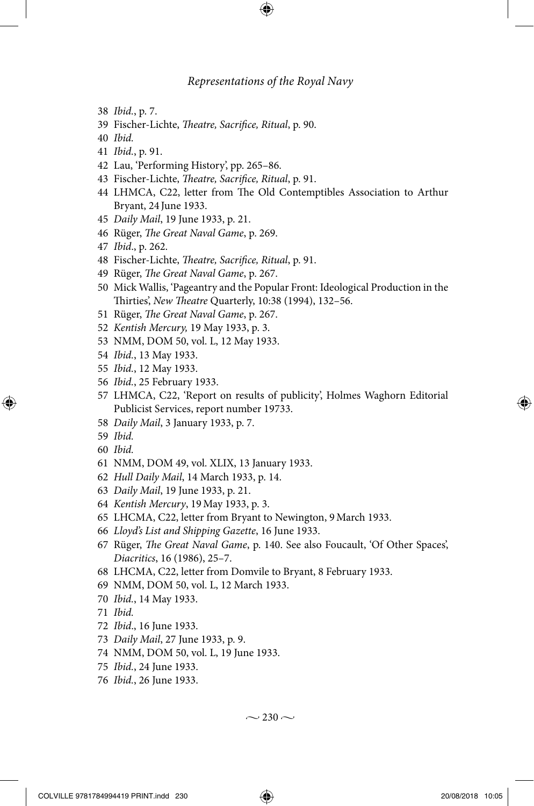⊕

- *Ibid.*, p. 7.
- Fischer-Lichte, *Theatre, Sacrifice, Ritual*, p. 90.
- *Ibid.*
- *Ibid.*, p. 91.
- Lau, 'Performing History', pp. 265–86.
- Fischer-Lichte, *Theatre, Sacrifice, Ritual*, p. 91.
- LHMCA, C22, letter from The Old Contemptibles Association to Arthur Bryant, 24 June 1933.
- *Daily Mail*, 19 June 1933, p. 21.
- Rüger, *The Great Naval Game*, p. 269.
- *Ibid*., p. 262.
- Fischer-Lichte, *Theatre, Sacrifice, Ritual*, p. 91.
- Rüger, *The Great Naval Game*, p. 267.
- Mick Wallis, 'Pageantry and the Popular Front: Ideological Production in the Thirties', *New Theatre* Quarterly, 10:38 (1994), 132–56.
- Rüger, *The Great Naval Game*, p. 267.
- *Kentish Mercury,* 19 May 1933, p. 3.
- NMM, DOM 50, vol. L, 12 May 1933.
- *Ibid.*, 13 May 1933.
- *Ibid.*, 12 May 1933.
- *Ibid.*, 25 February 1933.
- LHMCA, C22, 'Report on results of publicity', Holmes Waghorn Editorial Publicist Services, report number 19733.
- *Daily Mail*, 3 January 1933, p. 7.
- *Ibid.*

⊕

- *Ibid.*
- NMM, DOM 49, vol. XLIX, 13 January 1933.
- *Hull Daily Mail*, 14 March 1933, p. 14.
- *Daily Mail*, 19 June 1933, p. 21.
- *Kentish Mercury*, 19May 1933, p. 3.
- LHCMA, C22, letter from Bryant to Newington, 9March 1933.
- *Lloyd's List and Shipping Gazette*, 16 June 1933.
- Rüger, *The Great Naval Game*, p. 140. See also Foucault, 'Of Other Spaces', *Diacritics*, 16 (1986), 25–7.
- LHCMA, C22, letter from Domvile to Bryant, 8 February 1933.
- NMM, DOM 50, vol. L, 12 March 1933.
- *Ibid.*, 14 May 1933.
- *Ibid.*
- *Ibid*., 16 June 1933.
- *Daily Mail*, 27 June 1933, p. 9.
- NMM, DOM 50, vol. L, 19 June 1933.
- *Ibid.*, 24 June 1933.
- *Ibid.*, 26 June 1933.

 $\sim$  230  $\sim$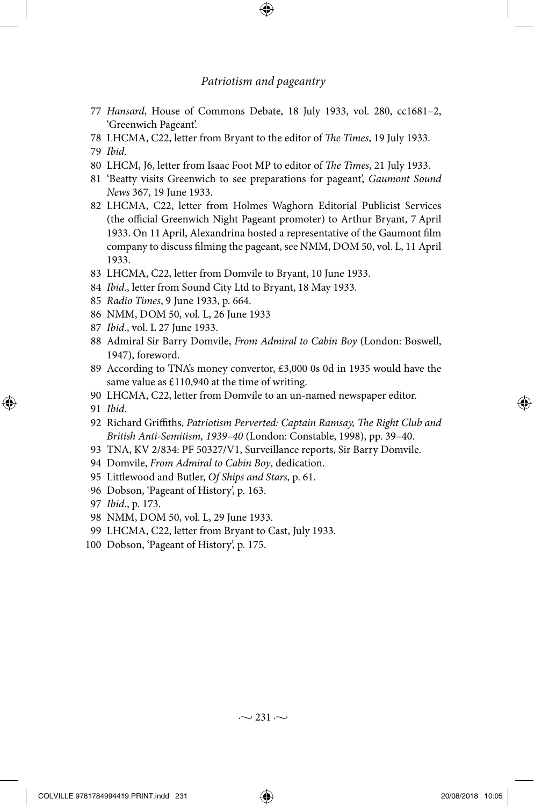⊕

- *Hansard*, House of Commons Debate, 18 July 1933, vol. 280, cc1681–2, 'Greenwich Pageant'.
- LHCMA, C22, letter from Bryant to the editor of *The Times*, 19 July 1933.
- *Ibid.*
- LHCM, J6, letter from Isaac Foot MP to editor of *The Times*, 21 July 1933.
- 'Beatty visits Greenwich to see preparations for pageant', *Gaumont Sound News* 367, 19 June 1933.
- LHCMA, C22, letter from Holmes Waghorn Editorial Publicist Services (the official Greenwich Night Pageant promoter) to Arthur Bryant, 7 April 1933. On 11April, Alexandrina hosted a representative of the Gaumont film company to discuss filming the pageant, see NMM, DOM 50, vol. L, 11 April 1933.
- LHCMA, C22, letter from Domvile to Bryant, 10 June 1933.
- *Ibid.*, letter from Sound City Ltd to Bryant, 18 May 1933.
- *Radio Times*, 9 June 1933, p. 664.
- NMM, DOM 50, vol. L, 26 June 1933
- *Ibid*., vol. L 27 June 1933.
- Admiral Sir Barry Domvile, *From Admiral to Cabin Boy* (London: Boswell, 1947), foreword.
- According to TNA's money convertor, £3,000 0s 0d in 1935 would have the same value as £110,940 at the time of writing.
- LHCMA, C22, letter from Domvile to an un-named newspaper editor.
- *Ibid*.

◈

- Richard Griffiths, *Patriotism Perverted: Captain Ramsay, The Right Club and British Anti-Semitism, 1939–40* (London: Constable, 1998), pp. 39–40.
- TNA, KV 2/834: PF 50327/V1, Surveillance reports, Sir Barry Domvile.
- Domvile, *From Admiral to Cabin Boy*, dedication.
- Littlewood and Butler, *Of Ships and Stars*, p. 61.
- Dobson, 'Pageant of History', p. 163.
- *Ibid.*, p. 173.
- NMM, DOM 50, vol. L, 29 June 1933.
- LHCMA, C22, letter from Bryant to Cast, July 1933.
- Dobson, 'Pageant of History', p. 175.

 $\sim$  231  $\sim$